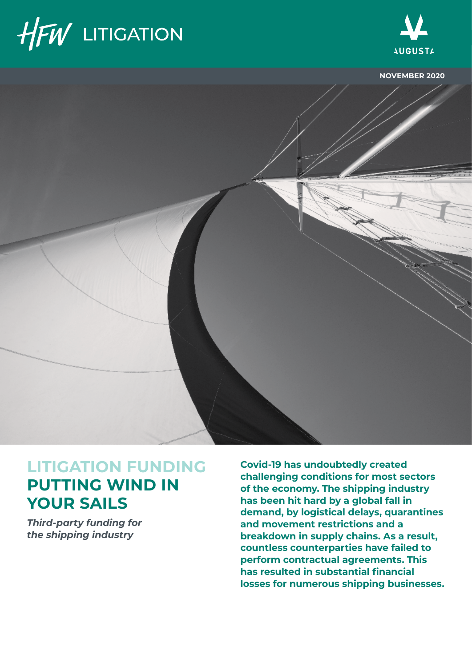



**NOVEMBER 2020**



## **LITIGATION FUNDING PUTTING WIND IN YOUR SAILS**

*Third-party funding for the shipping industry*

**Covid-19 has undoubtedly created challenging conditions for most sectors of the economy. The shipping industry has been hit hard by a global fall in demand, by logistical delays, quarantines and movement restrictions and a breakdown in supply chains. As a result, countless counterparties have failed to perform contractual agreements. This has resulted in substantial financial losses for numerous shipping businesses.**